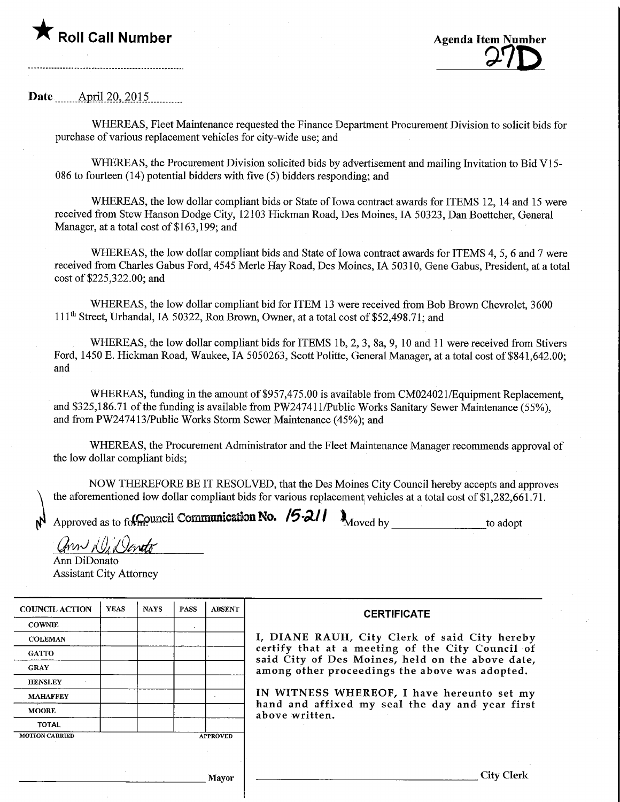



## Date  $\Delta$ pril 20, 2015.

WHEREAS, Fleet Maintenance requested the Finance Department Procurement Division to solicit bids for purchase of various replacement vehicles for city-wide use; and

WHEREAS, the Procurement Division solicited bids by advertisement and mailing Invitation to Bid V15- 086 to fourteen (14) potential bidders with five (5) bidders responding; and

WHEREAS, the low dollar compliant bids or State of Iowa contract awards for ITEMS 12, 14 and 15 were received from Stew Hanson Dodge City, 12103 Hickman Road, Des Moines, IA 50323, Dan Boettcher, General Manager, at a total cost of \$163,199; and

WHEREAS, the low dollar compliant bids and State of Iowa contract awards for ITEMS 4, 5, 6 and 7 were received from Charles Gabus Ford, 4545 Merle Hay Road, Des Moines, IA 50310, Gene Gabus, President, at a total cost of \$225,322.00; and

WHEREAS, the low dollar compliant bid for ITEM 13 were received from Bob Brown Chevrolet, 3600  $111<sup>th</sup> Street, Urbandal, IA 50322, Ron Brown, Owener, at a total cost of $52,498.71; and$ 

WHEREAS, the low dollar compliant bids for ITEMS 1b, 2, 3, 8a, 9, 10 and 11 were received from Stivers Ford, 1450 E. Hickman Road, Waukee, IA 5050263, Scott Politte, General Manager, at a total cost of \$841,642.00; and

WHEREAS, funding in the amount of \$957,475.00 is available from CM024021/Equipment Replacement, and \$325,186.71 of the funding is available from PW247411/Public Works Sanitary Sewer Maintenance (55%), and from PW247413/Public Works Storm Sewer Maintenance (45%); and

WHEREAS, the Procurement Administrator and the Fleet Maintenance Manager recommends approval of the low dollar compliant bids;

NOW THEREFORE BE IT RESOLVED, that the Des Moines City Council hereby accepts and approves the aforementioned low dollar compliant bids for various replacement vehicles at a total cost of  $\hat{1,}282,661.71$ .

Approved as to followincil Communication No. /5.2/1  $\lambda_{\text{Moved by}}$ 

\_to adopt

ann Did Janeto

Ann DiDonato Assistant City Attorney

| <b>COUNCIL ACTION</b> | <b>YEAS</b> | <b>NAYS</b>     | <b>PASS</b> | <b>ABSENT</b> |
|-----------------------|-------------|-----------------|-------------|---------------|
| <b>COWNIE</b>         |             |                 | ٠           |               |
| <b>COLEMAN</b>        |             |                 |             |               |
| <b>GATTO</b>          |             |                 |             |               |
| <b>GRAY</b>           |             |                 |             |               |
| <b>HENSLEY</b>        |             |                 |             |               |
| <b>MAHAFFEY</b>       |             |                 |             |               |
| <b>MOORE</b>          |             |                 |             |               |
| TOTAL                 |             |                 |             |               |
| <b>MOTION CARRIED</b> |             | <b>APPROVED</b> |             |               |

## **CERTIFICATE**

I, DIANE RAUH, City Clerk of said City hereby certify that at a meeting of the City Council of said City of Des Moines, held on the above date, among other proceedings the above was adopted.

IN WITNESS WHEREOF, I have hereunto set my hand and affixed my seal the day and year first above written.

Mayor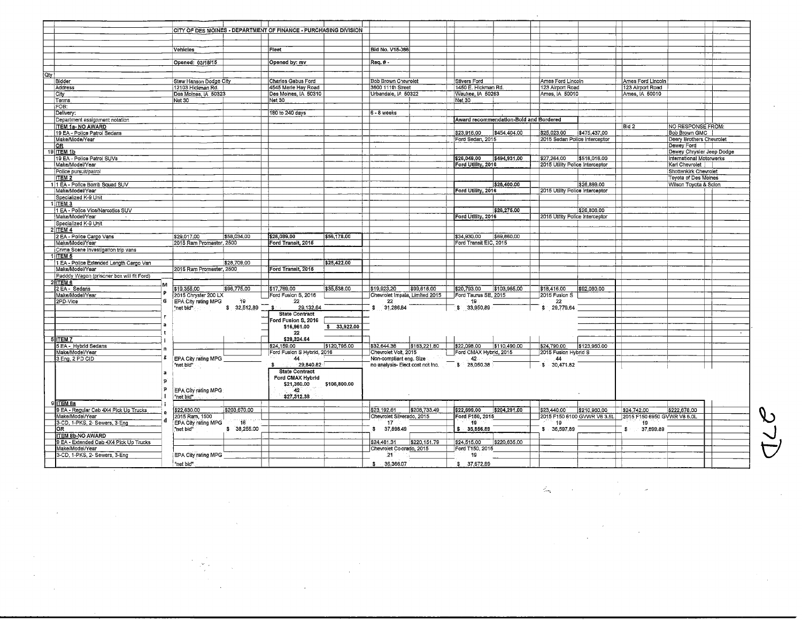|                                                            |                                  | CITY OF DES MOINES - DEPARTMENT OF FINANCE - PURCHASING DIVISION |                                                 |                                        |              |                                 |              |                             |                                           |  |
|------------------------------------------------------------|----------------------------------|------------------------------------------------------------------|-------------------------------------------------|----------------------------------------|--------------|---------------------------------|--------------|-----------------------------|-------------------------------------------|--|
|                                                            |                                  |                                                                  |                                                 |                                        |              |                                 |              |                             |                                           |  |
|                                                            | Vehicles                         | Fleet                                                            | <b>Bid No. V15-086</b>                          |                                        |              |                                 |              |                             |                                           |  |
|                                                            |                                  |                                                                  |                                                 |                                        |              |                                 |              |                             |                                           |  |
|                                                            | Opened: 03/18/15                 | Opened by: mv                                                    | Req.#-                                          |                                        |              |                                 |              |                             |                                           |  |
| Qty                                                        |                                  |                                                                  |                                                 |                                        |              |                                 |              |                             |                                           |  |
| Bidder                                                     | Stew Hanson Dodge City           | Charles Gabus Ford                                               | <b>Bob Brown Chevrolet</b>                      | Stivers Ford                           |              | Ames Ford Lincoln               |              | Ames Ford Lincoln           |                                           |  |
| Address                                                    | 12103 Hickman Rd.                | 4545 Merle Hay Road                                              | 3600 111th Street                               | 1450 E. Hickman Rd.                    |              | 123 Airport Road                |              | 123 Airport Road            |                                           |  |
| City                                                       | Des Moines, JA 50323             | Des Moines, IA 50310                                             | Urbandale, IA 50322                             | Waukee, IA 50263                       |              | Ames, IA 50010                  |              | Ames, IA 50010              |                                           |  |
| Terms<br>FOB:                                              | Net 30                           | <b>Net 30</b>                                                    |                                                 | <b>Net 30</b>                          |              |                                 |              |                             |                                           |  |
| Delivery:                                                  |                                  | 180 to 240 days                                                  | 6 - 8 weeks                                     |                                        |              |                                 |              |                             |                                           |  |
| Department assignment notation                             |                                  |                                                                  |                                                 | Award recommendation-Bold and Bordered |              |                                 |              |                             |                                           |  |
| <b>ITEM 1a- NO AWARD</b>                                   |                                  |                                                                  |                                                 |                                        |              |                                 |              | Bid 2                       | <b>NO RESPONSE FROM:</b>                  |  |
| 19 EA - Police Patrol Sedans                               |                                  |                                                                  |                                                 | \$23,916,00                            | \$454,404,00 | \$25,023.00                     | \$475,437.00 |                             | <b>Bob Brown GMC</b>                      |  |
| Make/Mode/Year                                             |                                  |                                                                  |                                                 | Ford Sedan, 2015                       |              | 2015 Sedan Police Interceptor   |              |                             | Deery Brothers Chevrolet                  |  |
| OR<br><b>ITEM 1b</b><br>19                                 |                                  |                                                                  |                                                 |                                        |              |                                 |              |                             | Dewey Ford  <br>Dewey Chrysler Jeep Dodge |  |
| 19 EA - Police Patrol SUVs                                 |                                  |                                                                  |                                                 | \$26,049,00                            | \$494,931.00 | \$27,264.00                     | \$518,016.00 |                             | International Motorwerks                  |  |
| Make/Model/Year                                            |                                  |                                                                  |                                                 | Ford Utility, 2016                     |              | 2015 Utility Police Interceptor |              |                             | Karl Chevrolet                            |  |
| Police pursuit/patrol                                      |                                  |                                                                  |                                                 |                                        |              |                                 |              |                             | Shottenkirk Chevrolet                     |  |
| <b>ITEM 2</b>                                              |                                  |                                                                  |                                                 |                                        |              |                                 |              |                             | Toyota of Des Moines                      |  |
| 11 EA - Police Bomb Squad SUV<br>Make/Model/Year           |                                  |                                                                  |                                                 | Ford Utility, 2016                     | \$26,400.00  | 2015 Utility Police Interceptor | \$26,899,00  |                             | Wilson Toyota & Scion                     |  |
| Specialized K-9 Unit                                       |                                  |                                                                  |                                                 |                                        |              |                                 |              |                             |                                           |  |
| $1$ ITEM 3                                                 |                                  |                                                                  |                                                 |                                        |              |                                 |              |                             |                                           |  |
| 1 EA - Police Vice/Narcotics SUV                           |                                  |                                                                  |                                                 |                                        | \$26,275.00  |                                 | \$26,806.00  |                             |                                           |  |
| Make/Model/Year                                            |                                  |                                                                  |                                                 | Ford Utility, 2016                     |              | 2015 Utility Police Interceptor |              |                             |                                           |  |
| Specialized K-9 Unit<br>$2$ ITEM $4$                       |                                  |                                                                  |                                                 |                                        |              |                                 |              |                             |                                           |  |
| 2 EA - Police Cargo Vans                                   | \$58,034,00<br>\$29,017.00       | \$28,089.00<br>\$56,178,00                                       |                                                 | \$34,930.00                            | \$69,860,00  |                                 |              |                             |                                           |  |
| Make/Model/Year                                            | 2015 Ram Promaster, 2500         | Ford Transit, 2015                                               |                                                 | Ford Transit EIC, 2015                 |              |                                 |              |                             |                                           |  |
| Crime Scene Investigation trip vans                        |                                  |                                                                  |                                                 |                                        |              |                                 |              |                             |                                           |  |
| <b>ITEM 5</b>                                              |                                  |                                                                  |                                                 |                                        |              |                                 |              |                             |                                           |  |
| 1 EA - Police Extended Length Cargo Van                    | \$28,709.00                      | \$28,422.00                                                      |                                                 |                                        |              |                                 |              |                             |                                           |  |
| Make/Model/Year                                            | 2015 Ram Promaster, 2500         | Ford Transit, 2015                                               |                                                 |                                        |              |                                 |              |                             |                                           |  |
| Padddy Wagon (prisoner box will fit Ford)<br><b>ITEM 6</b> |                                  |                                                                  |                                                 |                                        |              |                                 |              |                             |                                           |  |
| 2 EA - Sedans                                              | M<br>\$96,775.00<br>\$19,355,00  | \$35,538.00<br>\$17,769.00                                       | \$19,923.20<br>\$99,616.00                      | \$20,793.00                            | \$103,965.00 | \$18,416.00                     | \$92,080.00  |                             |                                           |  |
| Make/Model/Year                                            | 2015 Chrysler 200 LX             | Ford Fusion S, 2016                                              | Chevrolet Impala, Limited 2015                  | Ford Taurus SE, 2015                   |              | 2015 Fusion S                   |              |                             |                                           |  |
| 2PD-Vice                                                   | G<br>EPA City rating MPG<br>19   | 22                                                               | 22                                              | 19                                     |              | 22                              |              |                             |                                           |  |
|                                                            | \$32,512.89<br>'net bid"         | 29,132,64<br>- \$.                                               | 31,286.84<br>s                                  | 33,950.89<br>٦\$                       |              | 29,779.64                       |              |                             |                                           |  |
|                                                            |                                  | <b>State Contract</b><br>Ford Fusion S, 2016                     |                                                 |                                        |              |                                 |              |                             |                                           |  |
|                                                            |                                  | \$33,922,00<br>\$16,961.00                                       |                                                 |                                        |              |                                 |              |                             |                                           |  |
|                                                            |                                  | 22                                                               |                                                 |                                        |              |                                 |              |                             |                                           |  |
| <b>ITEM7</b>                                               |                                  | \$28,324.64                                                      |                                                 |                                        |              |                                 |              |                             |                                           |  |
| <b>EA - Hybrid Sedans</b>                                  |                                  | \$24,159.00<br>\$120,795.00                                      | \$32,644.36<br>\$163,221.80                     | \$22,098.00                            | \$110,490.00 | \$24,790,00                     | \$123,950.00 |                             |                                           |  |
| Make/Model/Year<br>3 Eng, 2 PD CID                         | EPA City rating MPG              | Ford Fusion S Hybrid, 2016<br>44                                 | Chevrolet Volt, 2015<br>Non-compliant eng. Size | Ford CMAX Hybrid, 2015<br>42.          |              | 2015 Fusion Hybrid S<br>44      |              |                             |                                           |  |
|                                                            | "net bid"                        | 29,840,82                                                        | no analysis- Elect cost not inc.                | \$ 28,050.38                           |              | \$ 30,471.82                    |              |                             |                                           |  |
|                                                            | a                                | <b>State Contract</b>                                            |                                                 |                                        |              |                                 |              |                             |                                           |  |
|                                                            | D                                | Ford CMAX Hybrid                                                 |                                                 |                                        |              |                                 |              |                             |                                           |  |
|                                                            | P                                | \$21,360.00<br>\$106,800,00<br>42                                |                                                 |                                        |              |                                 |              |                             |                                           |  |
|                                                            | EPA City rating MPG<br>'net bid" | \$27,312.38                                                      |                                                 |                                        |              |                                 |              |                             |                                           |  |
| <b>ITEM 8a</b>                                             |                                  |                                                                  |                                                 |                                        |              |                                 |              |                             |                                           |  |
| 9 EA - Regular Cab 4X4 Pick Up Trucks                      | \$203,670.00<br>\$22,630.00      |                                                                  | \$23,192.61<br>\$208,733,49                     | \$22,699,00                            | \$204,291.00 | \$23,440.00                     | \$210,960,00 | \$24,742.00                 | \$222,678.00                              |  |
| Make/Model/Year                                            | 2015 Ram, 1500                   |                                                                  | Chevrolet Silverado, 2015                       | Ford F150, 2015                        |              | 2015 F150 6100 GVWR V6 3.5L     |              | 2015 F150 6950 GVWR V8 5.0L |                                           |  |
| 3-CD, 1-PKS, 2- Sewers, 3-Eng                              | 16<br>EPA City rating MPG        |                                                                  | 17                                              | 19                                     |              | 19                              |              | 19                          |                                           |  |
| 0R<br><b>ITEM 8b-NO AWARD</b>                              | "net bid"<br>\$38,255.00         |                                                                  | 37,898.49<br>s.                                 | 35,856.89                              |              | \$36,597,89                     |              | 37,899.89<br>- \$           |                                           |  |
| 9 EA - Extended Cab 4X4 Pick Up Trucks                     |                                  |                                                                  | \$220,151.79<br>\$24,461.31                     | \$24,515.00                            | \$220,635,00 |                                 |              |                             |                                           |  |
| Make/Model/Year                                            |                                  |                                                                  | Chevrolet Colorado, 2015                        | Ford T150, 2015                        |              |                                 |              |                             |                                           |  |
| 3-CD, 1-PKS, 2- Sewers, 3-Eng                              | EPA City rating MPG              |                                                                  | 21                                              | 19                                     |              |                                 |              |                             |                                           |  |
|                                                            |                                  |                                                                  |                                                 |                                        |              |                                 |              |                             |                                           |  |

 $\label{eq:2.1} \frac{1}{\sqrt{2}}\int_{\mathbb{R}^3}\frac{1}{\sqrt{2}}\left(\frac{1}{\sqrt{2}}\right)^2\frac{1}{\sqrt{2}}\left(\frac{1}{\sqrt{2}}\right)^2\frac{1}{\sqrt{2}}\left(\frac{1}{\sqrt{2}}\right)^2\frac{1}{\sqrt{2}}\left(\frac{1}{\sqrt{2}}\right)^2.$ 

 $\frac{1}{\sqrt{2\pi}}\frac{d\omega}{d\omega}$ 

 $C2$ 

 $\sim 100$